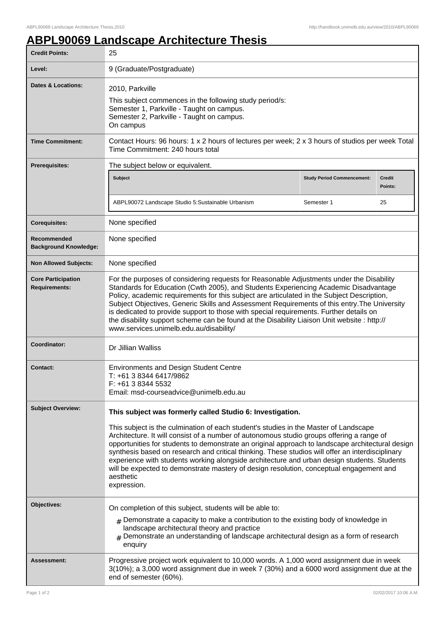## **ABPL90069 Landscape Architecture Thesis**

| <b>Credit Points:</b>                             | 25                                                                                                                                                                                                                                                                                                                                                                                                                                                                                                                                                                                                                                                                           |                                   |                          |
|---------------------------------------------------|------------------------------------------------------------------------------------------------------------------------------------------------------------------------------------------------------------------------------------------------------------------------------------------------------------------------------------------------------------------------------------------------------------------------------------------------------------------------------------------------------------------------------------------------------------------------------------------------------------------------------------------------------------------------------|-----------------------------------|--------------------------|
| Level:                                            | 9 (Graduate/Postgraduate)                                                                                                                                                                                                                                                                                                                                                                                                                                                                                                                                                                                                                                                    |                                   |                          |
| Dates & Locations:                                | 2010, Parkville<br>This subject commences in the following study period/s:<br>Semester 1, Parkville - Taught on campus.<br>Semester 2, Parkville - Taught on campus.<br>On campus                                                                                                                                                                                                                                                                                                                                                                                                                                                                                            |                                   |                          |
| <b>Time Commitment:</b>                           | Contact Hours: 96 hours: 1 x 2 hours of lectures per week; 2 x 3 hours of studios per week Total<br>Time Commitment: 240 hours total                                                                                                                                                                                                                                                                                                                                                                                                                                                                                                                                         |                                   |                          |
| <b>Prerequisites:</b>                             | The subject below or equivalent.                                                                                                                                                                                                                                                                                                                                                                                                                                                                                                                                                                                                                                             |                                   |                          |
|                                                   | Subject                                                                                                                                                                                                                                                                                                                                                                                                                                                                                                                                                                                                                                                                      | <b>Study Period Commencement:</b> | <b>Credit</b><br>Points: |
|                                                   | ABPL90072 Landscape Studio 5: Sustainable Urbanism                                                                                                                                                                                                                                                                                                                                                                                                                                                                                                                                                                                                                           | Semester 1                        | 25                       |
| <b>Corequisites:</b>                              | None specified                                                                                                                                                                                                                                                                                                                                                                                                                                                                                                                                                                                                                                                               |                                   |                          |
| Recommended<br><b>Background Knowledge:</b>       | None specified                                                                                                                                                                                                                                                                                                                                                                                                                                                                                                                                                                                                                                                               |                                   |                          |
| <b>Non Allowed Subjects:</b>                      | None specified                                                                                                                                                                                                                                                                                                                                                                                                                                                                                                                                                                                                                                                               |                                   |                          |
| <b>Core Participation</b><br><b>Requirements:</b> | For the purposes of considering requests for Reasonable Adjustments under the Disability<br>Standards for Education (Cwth 2005), and Students Experiencing Academic Disadvantage<br>Policy, academic requirements for this subject are articulated in the Subject Description,<br>Subject Objectives, Generic Skills and Assessment Requirements of this entry. The University<br>is dedicated to provide support to those with special requirements. Further details on<br>the disability support scheme can be found at the Disability Liaison Unit website : http://<br>www.services.unimelb.edu.au/disability/                                                           |                                   |                          |
| Coordinator:                                      | Dr Jillian Walliss                                                                                                                                                                                                                                                                                                                                                                                                                                                                                                                                                                                                                                                           |                                   |                          |
| <b>Contact:</b>                                   | <b>Environments and Design Student Centre</b><br>T: +61 3 8344 6417/9862<br>F: +61 3 8344 5532<br>Email: msd-courseadvice@unimelb.edu.au                                                                                                                                                                                                                                                                                                                                                                                                                                                                                                                                     |                                   |                          |
| <b>Subject Overview:</b>                          | This subject was formerly called Studio 6: Investigation.<br>This subject is the culmination of each student's studies in the Master of Landscape<br>Architecture. It will consist of a number of autonomous studio groups offering a range of<br>opportunities for students to demonstrate an original approach to landscape architectural design<br>synthesis based on research and critical thinking. These studios will offer an interdisciplinary<br>experience with students working alongside architecture and urban design students. Students<br>will be expected to demonstrate mastery of design resolution, conceptual engagement and<br>aesthetic<br>expression. |                                   |                          |
| Objectives:                                       | On completion of this subject, students will be able to:<br>$_{\rm #}$ Demonstrate a capacity to make a contribution to the existing body of knowledge in<br>landscape architectural theory and practice<br>Demonstrate an understanding of landscape architectural design as a form of research<br>enquiry                                                                                                                                                                                                                                                                                                                                                                  |                                   |                          |
| Assessment:                                       | Progressive project work equivalent to 10,000 words. A 1,000 word assignment due in week<br>3(10%); a 3,000 word assignment due in week 7 (30%) and a 6000 word assignment due at the<br>end of semester (60%).                                                                                                                                                                                                                                                                                                                                                                                                                                                              |                                   |                          |